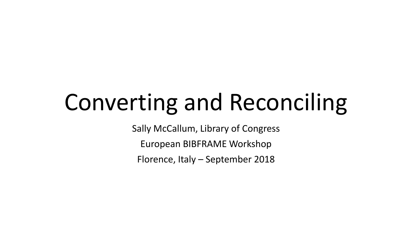# Converting and Reconciling

Sally McCallum, Library of Congress

European BIBFRAME Workshop

Florence, Italy – September 2018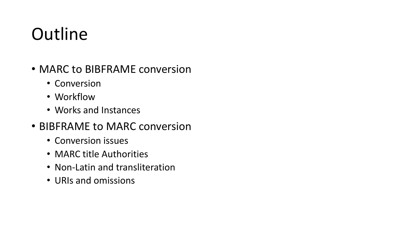## **Outline**

- MARC to BIBFRAME conversion
	- Conversion
	- Workflow
	- Works and Instances
- BIBFRAME to MARC conversion
	- Conversion issues
	- MARC title Authorities
	- Non-Latin and transliteration
	- URIs and omissions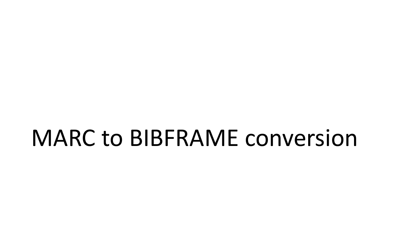## MARC to BIBFRAME conversion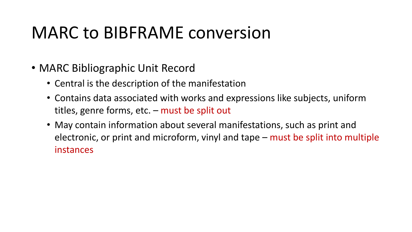#### MARC to BIBFRAME conversion

- MARC Bibliographic Unit Record
	- Central is the description of the manifestation
	- Contains data associated with works and expressions like subjects, uniform titles, genre forms, etc. – must be split out
	- May contain information about several manifestations, such as print and electronic, or print and microform, vinyl and tape – must be split into multiple instances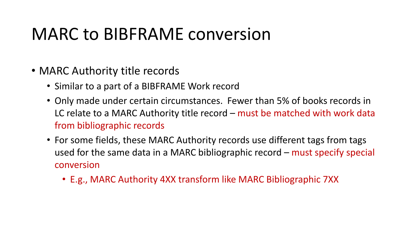#### MARC to BIBFRAME conversion

- MARC Authority title records
	- Similar to a part of a BIBFRAME Work record
	- Only made under certain circumstances. Fewer than 5% of books records in LC relate to a MARC Authority title record – must be matched with work data from bibliographic records
	- For some fields, these MARC Authority records use different tags from tags used for the same data in a MARC bibliographic record – must specify special conversion
		- E.g., MARC Authority 4XX transform like MARC Bibliographic 7XX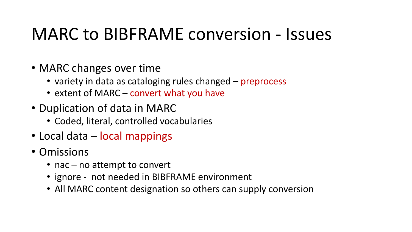#### MARC to BIBFRAME conversion - Issues

- MARC changes over time
	- variety in data as cataloging rules changed preprocess
	- extent of MARC convert what you have
- Duplication of data in MARC
	- Coded, literal, controlled vocabularies
- Local data local mappings
- Omissions
	- nac no attempt to convert
	- ignore not needed in BIBFRAME environment
	- All MARC content designation so others can supply conversion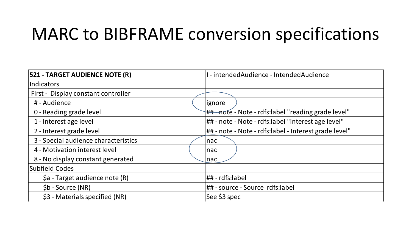#### MARC to BIBFRAME conversion specifications

| <b>521 - TARGET AUDIENCE NOTE (R)</b>                 | I - intendedAudience - IntendedAudience               |  |  |
|-------------------------------------------------------|-------------------------------------------------------|--|--|
| Indicators                                            |                                                       |  |  |
| First - Display constant controller                   |                                                       |  |  |
| # - Audience                                          | ignore                                                |  |  |
| 0 - Reading grade level                               | ## note - Note - rdfs:label "reading grade level"     |  |  |
| 1 - Interest age level                                | ## - note - Note - rdfs:label "interest age level"    |  |  |
| 2 - Interest grade level                              | ## - note - Note - rdfs:label - Interest grade level" |  |  |
| 3 - Special audience characteristics                  | nac                                                   |  |  |
| 4 - Motivation interest level                         | nac                                                   |  |  |
| 8 - No display constant generated                     | nac                                                   |  |  |
| Subfield Codes                                        |                                                       |  |  |
| \$a - Target audience note (R)                        | ## - rdfs:label                                       |  |  |
| $$b - Source (NR)$<br>## - source - Source rdfs:label |                                                       |  |  |
| \$3 - Materials specified (NR)                        | See \$3 spec                                          |  |  |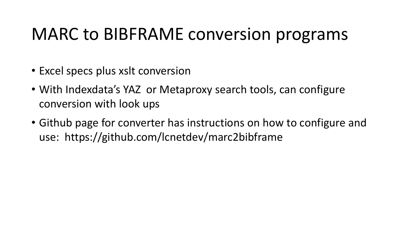#### MARC to BIBFRAME conversion programs

- Excel specs plus xslt conversion
- With Indexdata's YAZ or Metaproxy search tools, can configure conversion with look ups
- Github page for converter has instructions on how to configure and use: https://github.com/lcnetdev/marc2bibframe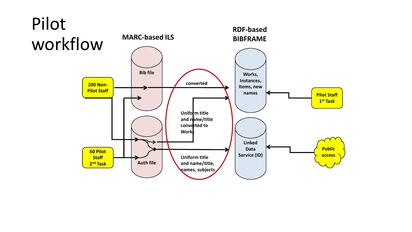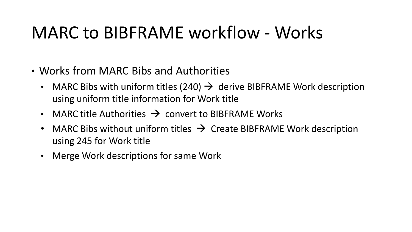## MARC to BIBFRAME workflow - Works

- Works from MARC Bibs and Authorities
	- MARC Bibs with uniform titles (240)  $\rightarrow$  derive BIBFRAME Work description using uniform title information for Work title
	- MARC title Authorities  $\rightarrow$  convert to BIBFRAME Works
	- MARC Bibs without uniform titles  $\rightarrow$  Create BIBFRAME Work description using 245 for Work title
	- Merge Work descriptions for same Work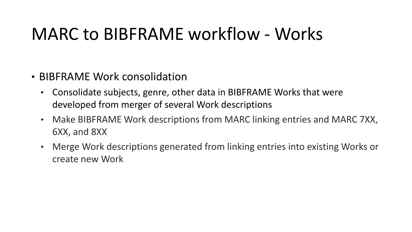#### MARC to BIBFRAME workflow - Works

- BIBFRAME Work consolidation
	- Consolidate subjects, genre, other data in BIBFRAME Works that were developed from merger of several Work descriptions
	- Make BIBFRAME Work descriptions from MARC linking entries and MARC 7XX, 6XX, and 8XX
	- Merge Work descriptions generated from linking entries into existing Works or create new Work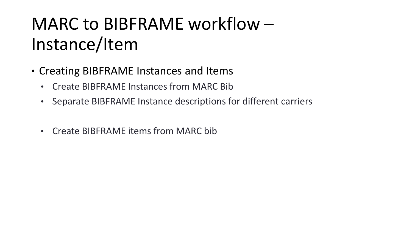## MARC to BIBFRAME workflow – Instance/Item

- Creating BIBFRAME Instances and Items
	- Create BIBFRAME Instances from MARC Bib
	- Separate BIBFRAME Instance descriptions for different carriers
	- Create BIBFRAME items from MARC bib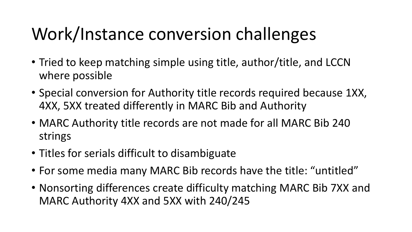## Work/Instance conversion challenges

- Tried to keep matching simple using title, author/title, and LCCN where possible
- Special conversion for Authority title records required because 1XX, 4XX, 5XX treated differently in MARC Bib and Authority
- MARC Authority title records are not made for all MARC Bib 240 strings
- Titles for serials difficult to disambiguate
- For some media many MARC Bib records have the title: "untitled"
- Nonsorting differences create difficulty matching MARC Bib 7XX and MARC Authority 4XX and 5XX with 240/245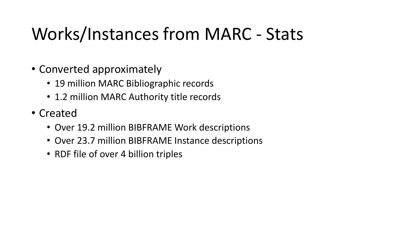## Works/Instances from MARC - Stats

- Converted approximately
	- 19 million MARC Bibliographic records
	- 1.2 million MARC Authority title records
- Created
	- Over 19.2 million BIBFRAME Work descriptions
	- Over 23.7 million BIBFRAME Instance descriptions
	- RDF file of over 4 billion triples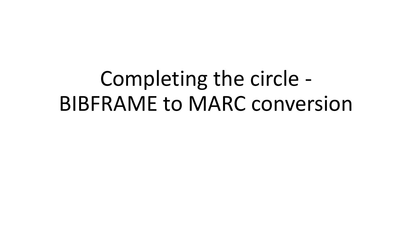## Completing the circle - BIBFRAME to MARC conversion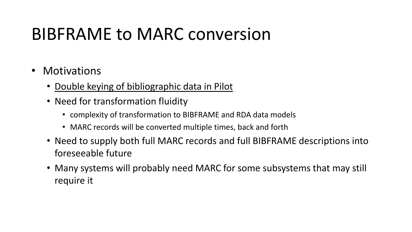#### BIBFRAME to MARC conversion

- Motivations
	- Double keying of bibliographic data in Pilot
	- Need for transformation fluidity
		- complexity of transformation to BIBFRAME and RDA data models
		- MARC records will be converted multiple times, back and forth
	- Need to supply both full MARC records and full BIBFRAME descriptions into foreseeable future
	- Many systems will probably need MARC for some subsystems that may still require it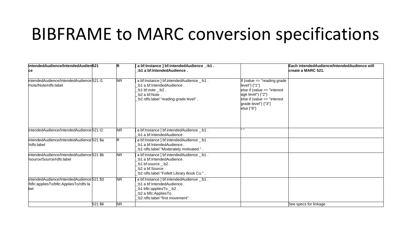#### BIBFRAME to MARC conversion specifications

| intendedAudience/IntendedAudien521<br>ce                                                   | R                      | a bf:Instance ] bf:intendedAudience _: b1 .<br>:b1 a bf:IntendedAudience.                                                                                          |                                                                                                                                                                          | Each intendedAudience/IntendedAudience will<br>create a MARC 521. |
|--------------------------------------------------------------------------------------------|------------------------|--------------------------------------------------------------------------------------------------------------------------------------------------------------------|--------------------------------------------------------------------------------------------------------------------------------------------------------------------------|-------------------------------------------------------------------|
| intendedAudience/IntendedAudience 521 I1<br>/note/Note/rdfs:label                          | <b>NR</b>              | a bf:Instance ] bf:intendedAudience _: b1.<br>:b1 a bf:IntendedAudience.<br>$:b1$ bf:note $_b2$ .<br>:b2 a bf:Note.<br>.: b2 rdfs:label "reading grade level".     | If (value == "reading grade<br>level") {"1"}<br>else if (value $==$ "interest<br>age level") {"2"}<br>else if (value $==$ "interest<br>grade level") {"3"}<br>else {"8"} |                                                                   |
| intendedAudience/IntendedAudience 521 I2                                                   | $\overline{\text{NR}}$ | a bf:Instance ] bf:intendedAudience _: b1.<br>: b1 a bf:IntendedAudience:                                                                                          |                                                                                                                                                                          |                                                                   |
| intendedAudience/IntendedAudience 521 \$a<br>Vrdfs:label                                   |                        | a bf:Instance ] bf:intendedAudience _: b1.<br>:b1 a bf:IntendedAudience.<br>:b1 rdfs:label "Moderately motivated." .                                               |                                                                                                                                                                          |                                                                   |
| intendedAudience/IntendedAudience 521 \$b<br>Vsource/Source/rdfs:label                     | <b>NR</b>              | a bf:Instance ] bf:intendedAudience _: b1.<br>: b1 a bf:IntendedAudience:<br>:b1 bf:source _:b2.<br>:b2 a bf:Source.<br>:b2 rdfs:label "Follett Library Book Co.". |                                                                                                                                                                          |                                                                   |
| intendedAudience/IntendedAudience 521 \$3<br>/bflc:appliesTo/bflc:AppliesTo/rdfs:la<br>bel | <b>NR</b>              | a bf:Instance   bf:intendedAudience _: b1.<br>:b1 a bf:IntendedAudience.<br>:b1 bflc:appliesTo _:b2.<br>:b2 a bflc:AppliesTo.<br>:b2 rdfs:label "first movement".  |                                                                                                                                                                          |                                                                   |
| 521 \$6                                                                                    | <b>NR</b>              |                                                                                                                                                                    |                                                                                                                                                                          | See specs for linkage                                             |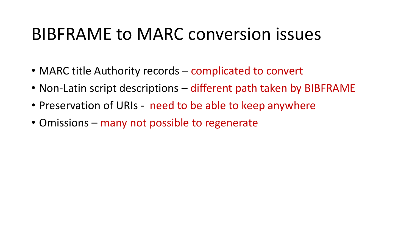#### BIBFRAME to MARC conversion issues

- MARC title Authority records complicated to convert
- Non-Latin script descriptions different path taken by BIBFRAME
- Preservation of URIs need to be able to keep anywhere
- Omissions many not possible to regenerate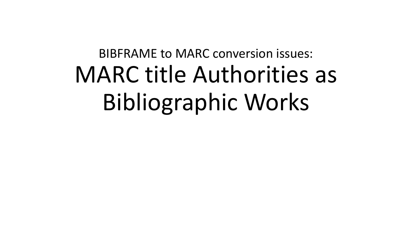## BIBFRAME to MARC conversion issues: MARC title Authorities as Bibliographic Works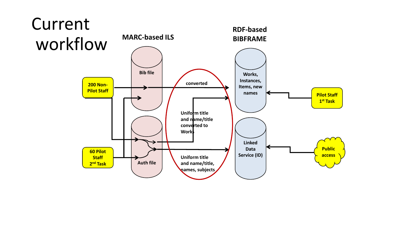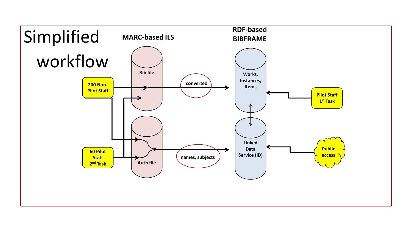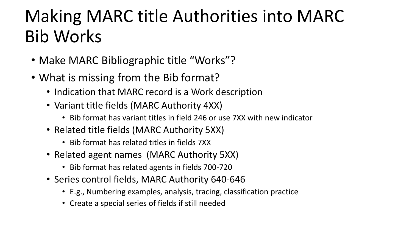## Making MARC title Authorities into MARC Bib Works

- Make MARC Bibliographic title "Works"?
- What is missing from the Bib format?
	- Indication that MARC record is a Work description
	- Variant title fields (MARC Authority 4XX)
		- Bib format has variant titles in field 246 or use 7XX with new indicator
	- Related title fields (MARC Authority 5XX)
		- Bib format has related titles in fields 7XX
	- Related agent names (MARC Authority 5XX)
		- Bib format has related agents in fields 700-720
	- Series control fields, MARC Authority 640-646
		- E.g., Numbering examples, analysis, tracing, classification practice
		- Create a special series of fields if still needed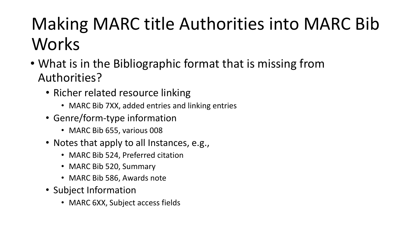## Making MARC title Authorities into MARC Bib Works

- What is in the Bibliographic format that is missing from Authorities?
	- Richer related resource linking
		- MARC Bib 7XX, added entries and linking entries
	- Genre/form-type information
		- MARC Bib 655, various 008
	- Notes that apply to all Instances, e.g.,
		- MARC Bib 524, Preferred citation
		- MARC Bib 520, Summary
		- MARC Bib 586, Awards note
	- Subject Information
		- MARC 6XX, Subject access fields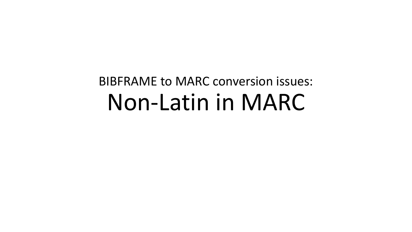## BIBFRAME to MARC conversion issues: Non-Latin in MARC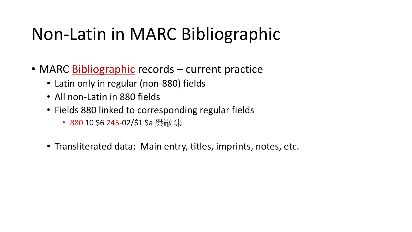## Non-Latin in MARC Bibliographic

- MARC Bibliographic records current practice
	- Latin only in regular (non-880) fields
	- All non-Latin in 880 fields
	- Fields 880 linked to corresponding regular fields
		- 880 10 \$6 245-02/\$1 \$a 樊巌 集
	- Transliterated data: Main entry, titles, imprints, notes, etc.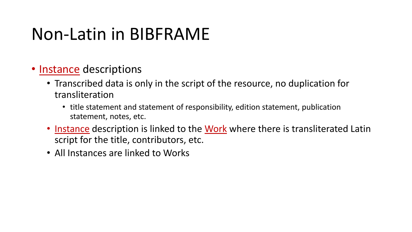#### Non-Latin in BIBFRAME

- Instance descriptions
	- Transcribed data is only in the script of the resource, no duplication for transliteration
		- title statement and statement of responsibility, edition statement, publication statement, notes, etc.
	- Instance description is linked to the Work where there is transliterated Latin script for the title, contributors, etc.
	- All Instances are linked to Works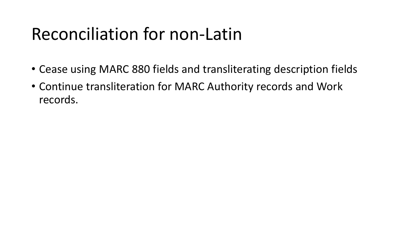#### Reconciliation for non-Latin

- Cease using MARC 880 fields and transliterating description fields
- Continue transliteration for MARC Authority records and Work records.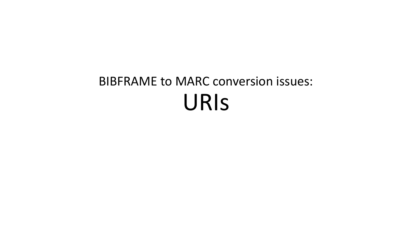## BIBFRAME to MARC conversion issues: URIs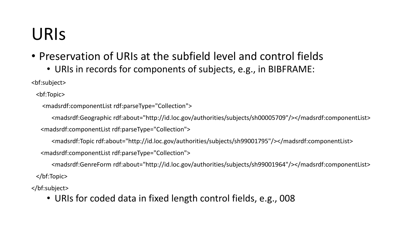#### URIs

- Preservation of URIs at the subfield level and control fields
	- URIs in records for components of subjects, e.g., in BIBFRAME:

<bf:subject>

<bf:Topic>

<madsrdf:componentList rdf:parseType="Collection">

<madsrdf:Geographic rdf:about="http://id.loc.gov/authorities/subjects/sh00005709"/></madsrdf:componentList>

<madsrdf:componentList rdf:parseType="Collection">

<madsrdf:Topic rdf:about="http://id.loc.gov/authorities/subjects/sh99001795"/></madsrdf:componentList>

<madsrdf:componentList rdf:parseType="Collection">

 <madsrdf:GenreForm rdf:about="http://id.loc.gov/authorities/subjects/sh99001964"/></madsrdf:componentList> </bf:Topic>

</bf:subject>

• URIs for coded data in fixed length control fields, e.g., 008